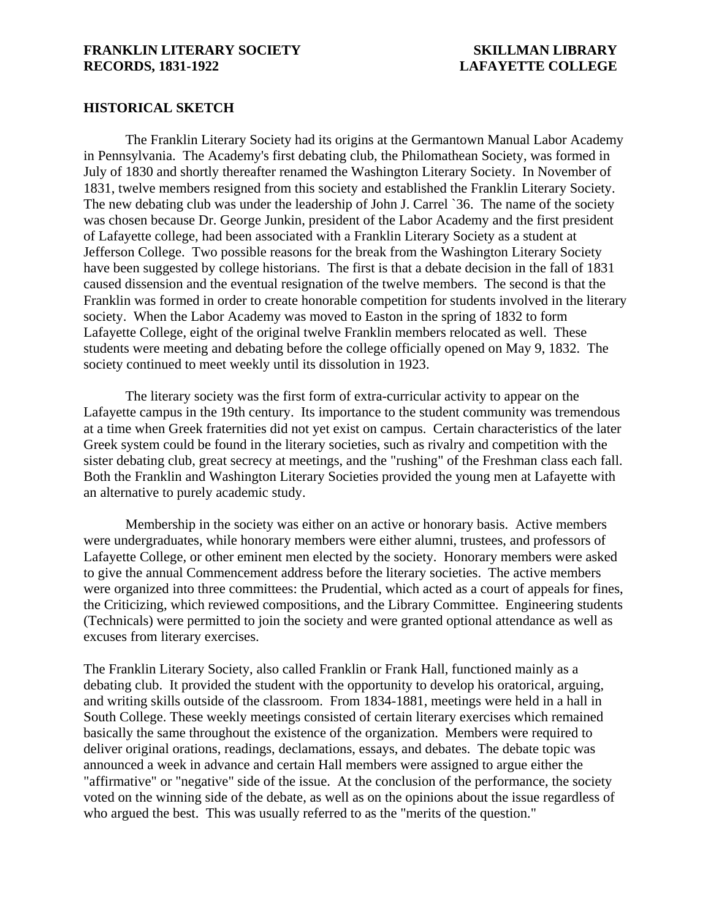## **HISTORICAL SKETCH**

The Franklin Literary Society had its origins at the Germantown Manual Labor Academy in Pennsylvania. The Academy's first debating club, the Philomathean Society, was formed in July of 1830 and shortly thereafter renamed the Washington Literary Society. In November of 1831, twelve members resigned from this society and established the Franklin Literary Society. The new debating club was under the leadership of John J. Carrel `36. The name of the society was chosen because Dr. George Junkin, president of the Labor Academy and the first president of Lafayette college, had been associated with a Franklin Literary Society as a student at Jefferson College. Two possible reasons for the break from the Washington Literary Society have been suggested by college historians. The first is that a debate decision in the fall of 1831 caused dissension and the eventual resignation of the twelve members. The second is that the Franklin was formed in order to create honorable competition for students involved in the literary society. When the Labor Academy was moved to Easton in the spring of 1832 to form Lafayette College, eight of the original twelve Franklin members relocated as well. These students were meeting and debating before the college officially opened on May 9, 1832. The society continued to meet weekly until its dissolution in 1923.

The literary society was the first form of extra-curricular activity to appear on the Lafayette campus in the 19th century. Its importance to the student community was tremendous at a time when Greek fraternities did not yet exist on campus. Certain characteristics of the later Greek system could be found in the literary societies, such as rivalry and competition with the sister debating club, great secrecy at meetings, and the "rushing" of the Freshman class each fall. Both the Franklin and Washington Literary Societies provided the young men at Lafayette with an alternative to purely academic study.

Membership in the society was either on an active or honorary basis. Active members were undergraduates, while honorary members were either alumni, trustees, and professors of Lafayette College, or other eminent men elected by the society. Honorary members were asked to give the annual Commencement address before the literary societies. The active members were organized into three committees: the Prudential, which acted as a court of appeals for fines, the Criticizing, which reviewed compositions, and the Library Committee. Engineering students (Technicals) were permitted to join the society and were granted optional attendance as well as excuses from literary exercises.

The Franklin Literary Society, also called Franklin or Frank Hall, functioned mainly as a debating club. It provided the student with the opportunity to develop his oratorical, arguing, and writing skills outside of the classroom. From 1834-1881, meetings were held in a hall in South College. These weekly meetings consisted of certain literary exercises which remained basically the same throughout the existence of the organization. Members were required to deliver original orations, readings, declamations, essays, and debates. The debate topic was announced a week in advance and certain Hall members were assigned to argue either the "affirmative" or "negative" side of the issue. At the conclusion of the performance, the society voted on the winning side of the debate, as well as on the opinions about the issue regardless of who argued the best. This was usually referred to as the "merits of the question."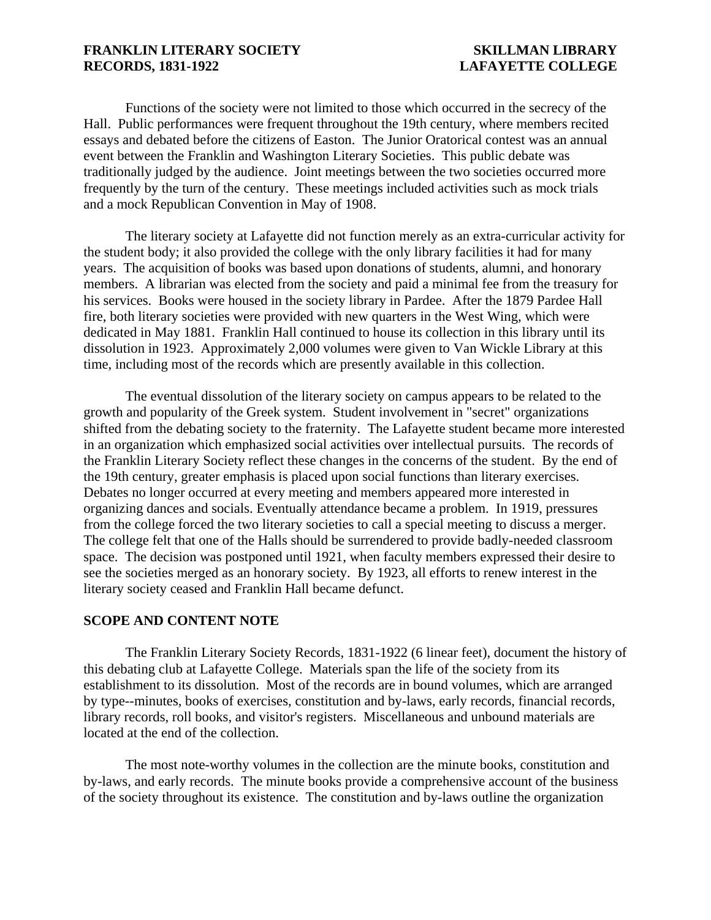Functions of the society were not limited to those which occurred in the secrecy of the Hall. Public performances were frequent throughout the 19th century, where members recited essays and debated before the citizens of Easton. The Junior Oratorical contest was an annual event between the Franklin and Washington Literary Societies. This public debate was traditionally judged by the audience. Joint meetings between the two societies occurred more frequently by the turn of the century. These meetings included activities such as mock trials and a mock Republican Convention in May of 1908.

The literary society at Lafayette did not function merely as an extra-curricular activity for the student body; it also provided the college with the only library facilities it had for many years. The acquisition of books was based upon donations of students, alumni, and honorary members. A librarian was elected from the society and paid a minimal fee from the treasury for his services. Books were housed in the society library in Pardee. After the 1879 Pardee Hall fire, both literary societies were provided with new quarters in the West Wing, which were dedicated in May 1881. Franklin Hall continued to house its collection in this library until its dissolution in 1923. Approximately 2,000 volumes were given to Van Wickle Library at this time, including most of the records which are presently available in this collection.

The eventual dissolution of the literary society on campus appears to be related to the growth and popularity of the Greek system. Student involvement in "secret" organizations shifted from the debating society to the fraternity. The Lafayette student became more interested in an organization which emphasized social activities over intellectual pursuits. The records of the Franklin Literary Society reflect these changes in the concerns of the student. By the end of the 19th century, greater emphasis is placed upon social functions than literary exercises. Debates no longer occurred at every meeting and members appeared more interested in organizing dances and socials. Eventually attendance became a problem. In 1919, pressures from the college forced the two literary societies to call a special meeting to discuss a merger. The college felt that one of the Halls should be surrendered to provide badly-needed classroom space. The decision was postponed until 1921, when faculty members expressed their desire to see the societies merged as an honorary society. By 1923, all efforts to renew interest in the literary society ceased and Franklin Hall became defunct.

### **SCOPE AND CONTENT NOTE**

The Franklin Literary Society Records, 1831-1922 (6 linear feet), document the history of this debating club at Lafayette College. Materials span the life of the society from its establishment to its dissolution. Most of the records are in bound volumes, which are arranged by type--minutes, books of exercises, constitution and by-laws, early records, financial records, library records, roll books, and visitor's registers. Miscellaneous and unbound materials are located at the end of the collection.

The most note-worthy volumes in the collection are the minute books, constitution and by-laws, and early records. The minute books provide a comprehensive account of the business of the society throughout its existence. The constitution and by-laws outline the organization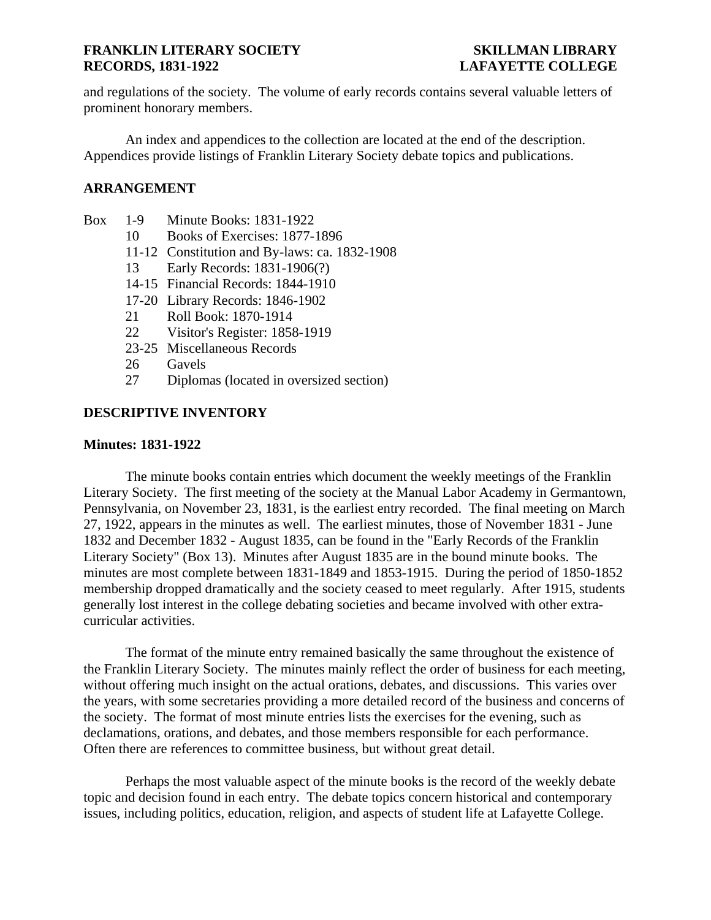and regulations of the society. The volume of early records contains several valuable letters of prominent honorary members.

An index and appendices to the collection are located at the end of the description. Appendices provide listings of Franklin Literary Society debate topics and publications.

# **ARRANGEMENT**

- Box 1-9 Minute Books: 1831-1922
	- 10 Books of Exercises: 1877-1896
	- 11-12 Constitution and By-laws: ca. 1832-1908
	- 13 Early Records: 1831-1906(?)
	- 14-15 Financial Records: 1844-1910
	- 17-20 Library Records: 1846-1902
	- 21 Roll Book: 1870-1914
	- 22 Visitor's Register: 1858-1919
	- 23-25 Miscellaneous Records
	- 26 Gavels
	- 27 Diplomas (located in oversized section)

# **DESCRIPTIVE INVENTORY**

### **Minutes: 1831-1922**

The minute books contain entries which document the weekly meetings of the Franklin Literary Society. The first meeting of the society at the Manual Labor Academy in Germantown, Pennsylvania, on November 23, 1831, is the earliest entry recorded. The final meeting on March 27, 1922, appears in the minutes as well. The earliest minutes, those of November 1831 - June 1832 and December 1832 - August 1835, can be found in the "Early Records of the Franklin Literary Society" (Box 13). Minutes after August 1835 are in the bound minute books. The minutes are most complete between 1831-1849 and 1853-1915. During the period of 1850-1852 membership dropped dramatically and the society ceased to meet regularly. After 1915, students generally lost interest in the college debating societies and became involved with other extracurricular activities.

The format of the minute entry remained basically the same throughout the existence of the Franklin Literary Society. The minutes mainly reflect the order of business for each meeting, without offering much insight on the actual orations, debates, and discussions. This varies over the years, with some secretaries providing a more detailed record of the business and concerns of the society. The format of most minute entries lists the exercises for the evening, such as declamations, orations, and debates, and those members responsible for each performance. Often there are references to committee business, but without great detail.

Perhaps the most valuable aspect of the minute books is the record of the weekly debate topic and decision found in each entry. The debate topics concern historical and contemporary issues, including politics, education, religion, and aspects of student life at Lafayette College.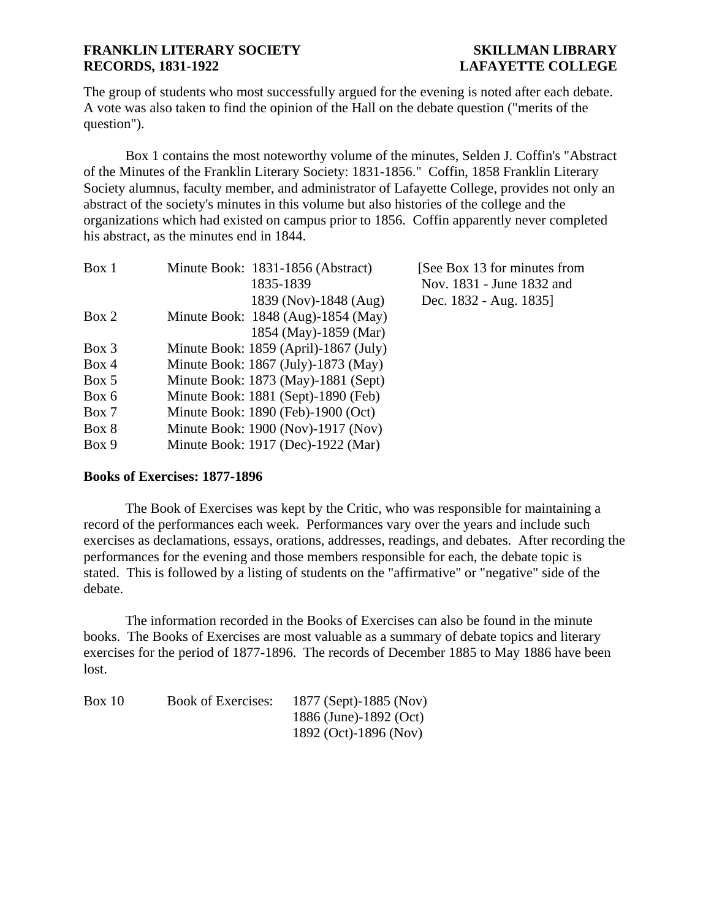The group of students who most successfully argued for the evening is noted after each debate. A vote was also taken to find the opinion of the Hall on the debate question ("merits of the question").

Box 1 contains the most noteworthy volume of the minutes, Selden J. Coffin's "Abstract of the Minutes of the Franklin Literary Society: 1831-1856." Coffin, 1858 Franklin Literary Society alumnus, faculty member, and administrator of Lafayette College, provides not only an abstract of the society's minutes in this volume but also histories of the college and the organizations which had existed on campus prior to 1856. Coffin apparently never completed his abstract, as the minutes end in 1844.

|                       | [See Box 13 for minutes from<br>Nov. 1831 - June 1832 and                                                                                                                                                                                                                                                                                                              |
|-----------------------|------------------------------------------------------------------------------------------------------------------------------------------------------------------------------------------------------------------------------------------------------------------------------------------------------------------------------------------------------------------------|
| 1839 (Nov)-1848 (Aug) | Dec. 1832 - Aug. 1835]                                                                                                                                                                                                                                                                                                                                                 |
|                       |                                                                                                                                                                                                                                                                                                                                                                        |
| 1854 (May)-1859 (Mar) |                                                                                                                                                                                                                                                                                                                                                                        |
|                       |                                                                                                                                                                                                                                                                                                                                                                        |
|                       |                                                                                                                                                                                                                                                                                                                                                                        |
|                       |                                                                                                                                                                                                                                                                                                                                                                        |
|                       |                                                                                                                                                                                                                                                                                                                                                                        |
|                       |                                                                                                                                                                                                                                                                                                                                                                        |
|                       |                                                                                                                                                                                                                                                                                                                                                                        |
|                       |                                                                                                                                                                                                                                                                                                                                                                        |
|                       | Minute Book: 1831-1856 (Abstract)<br>1835-1839<br>Minute Book: 1848 (Aug)-1854 (May)<br>Minute Book: $1859$ (April)-1867 (July)<br>Minute Book: 1867 (July)-1873 (May)<br>Minute Book: 1873 (May)-1881 (Sept)<br>Minute Book: 1881 (Sept)-1890 (Feb)<br>Minute Book: 1890 (Feb)-1900 (Oct)<br>Minute Book: 1900 (Nov)-1917 (Nov)<br>Minute Book: 1917 (Dec)-1922 (Mar) |

# **Books of Exercises: 1877-1896**

The Book of Exercises was kept by the Critic, who was responsible for maintaining a record of the performances each week. Performances vary over the years and include such exercises as declamations, essays, orations, addresses, readings, and debates. After recording the performances for the evening and those members responsible for each, the debate topic is stated. This is followed by a listing of students on the "affirmative" or "negative" side of the debate.

The information recorded in the Books of Exercises can also be found in the minute books. The Books of Exercises are most valuable as a summary of debate topics and literary exercises for the period of 1877-1896. The records of December 1885 to May 1886 have been lost.

| Box 10 | <b>Book of Exercises:</b> | 1877 (Sept)-1885 (Nov) |
|--------|---------------------------|------------------------|
|        |                           | 1886 (June)-1892 (Oct) |
|        |                           | 1892 (Oct)-1896 (Nov)  |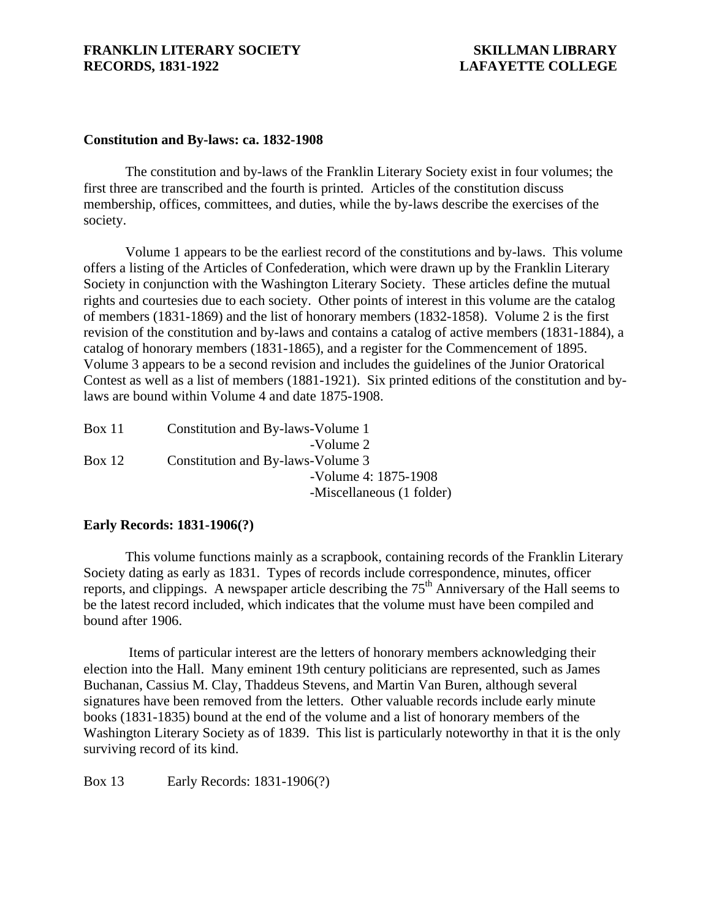## **Constitution and By-laws: ca. 1832-1908**

The constitution and by-laws of the Franklin Literary Society exist in four volumes; the first three are transcribed and the fourth is printed. Articles of the constitution discuss membership, offices, committees, and duties, while the by-laws describe the exercises of the society.

Volume 1 appears to be the earliest record of the constitutions and by-laws. This volume offers a listing of the Articles of Confederation, which were drawn up by the Franklin Literary Society in conjunction with the Washington Literary Society. These articles define the mutual rights and courtesies due to each society. Other points of interest in this volume are the catalog of members (1831-1869) and the list of honorary members (1832-1858). Volume 2 is the first revision of the constitution and by-laws and contains a catalog of active members (1831-1884), a catalog of honorary members (1831-1865), and a register for the Commencement of 1895. Volume 3 appears to be a second revision and includes the guidelines of the Junior Oratorical Contest as well as a list of members (1881-1921). Six printed editions of the constitution and bylaws are bound within Volume 4 and date 1875-1908.

| Constitution and By-laws-Volume 1 |
|-----------------------------------|
| -Volume 2                         |
| Constitution and By-laws-Volume 3 |
| -Volume 4: 1875-1908              |
| -Miscellaneous (1 folder)         |
|                                   |

### **Early Records: 1831-1906(?)**

This volume functions mainly as a scrapbook, containing records of the Franklin Literary Society dating as early as 1831. Types of records include correspondence, minutes, officer reports, and clippings. A newspaper article describing the  $75<sup>th</sup>$  Anniversary of the Hall seems to be the latest record included, which indicates that the volume must have been compiled and bound after 1906.

 Items of particular interest are the letters of honorary members acknowledging their election into the Hall. Many eminent 19th century politicians are represented, such as James Buchanan, Cassius M. Clay, Thaddeus Stevens, and Martin Van Buren, although several signatures have been removed from the letters. Other valuable records include early minute books (1831-1835) bound at the end of the volume and a list of honorary members of the Washington Literary Society as of 1839. This list is particularly noteworthy in that it is the only surviving record of its kind.

Box 13 Early Records: 1831-1906(?)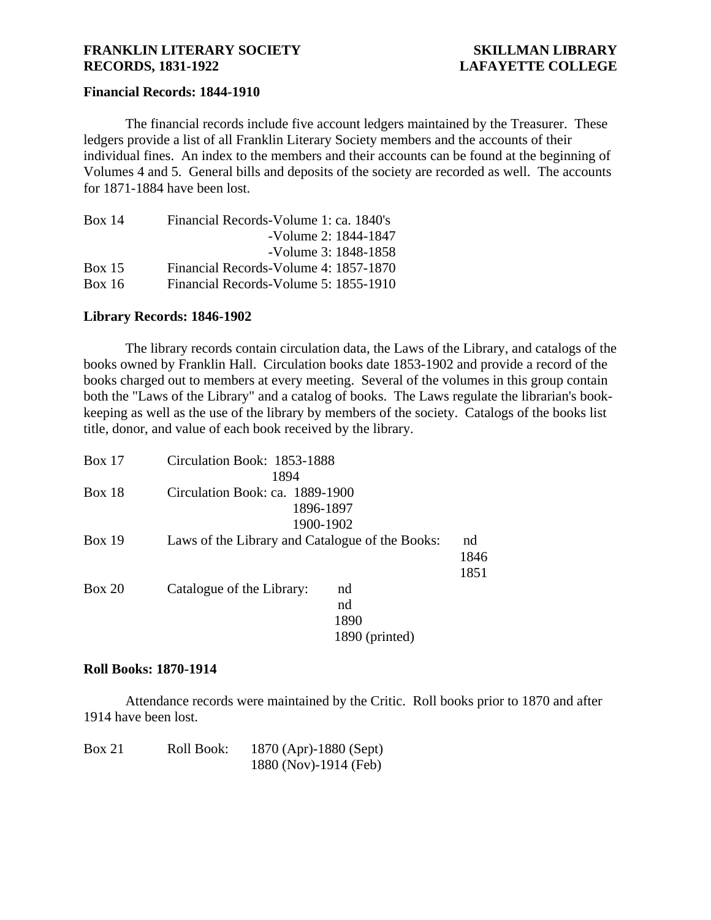## **Financial Records: 1844-1910**

The financial records include five account ledgers maintained by the Treasurer. These ledgers provide a list of all Franklin Literary Society members and the accounts of their individual fines. An index to the members and their accounts can be found at the beginning of Volumes 4 and 5. General bills and deposits of the society are recorded as well. The accounts for 1871-1884 have been lost.

| Box 14 | Financial Records-Volume 1: ca. 1840's |
|--------|----------------------------------------|
|        | -Volume 2: 1844-1847                   |
|        | -Volume 3: 1848-1858                   |
| Box 15 | Financial Records-Volume 4: 1857-1870  |
| Box 16 | Financial Records-Volume 5: 1855-1910  |

# **Library Records: 1846-1902**

The library records contain circulation data, the Laws of the Library, and catalogs of the books owned by Franklin Hall. Circulation books date 1853-1902 and provide a record of the books charged out to members at every meeting. Several of the volumes in this group contain both the "Laws of the Library" and a catalog of books. The Laws regulate the librarian's bookkeeping as well as the use of the library by members of the society. Catalogs of the books list title, donor, and value of each book received by the library.

| Box 17        | Circulation Book: 1853-1888                     |                |      |
|---------------|-------------------------------------------------|----------------|------|
|               | 1894                                            |                |      |
| <b>Box 18</b> | Circulation Book: ca. 1889-1900                 |                |      |
|               |                                                 | 1896-1897      |      |
|               |                                                 | 1900-1902      |      |
| Box 19        | Laws of the Library and Catalogue of the Books: |                | nd   |
|               |                                                 |                | 1846 |
|               |                                                 |                | 1851 |
| <b>Box 20</b> | Catalogue of the Library:                       | nd             |      |
|               |                                                 | nd             |      |
|               |                                                 | 1890           |      |
|               |                                                 | 1890 (printed) |      |

### **Roll Books: 1870-1914**

Attendance records were maintained by the Critic. Roll books prior to 1870 and after 1914 have been lost.

| Box 21 | Roll Book: | 1870 (Apr)-1880 (Sept) |
|--------|------------|------------------------|
|        |            | 1880 (Nov)-1914 (Feb)  |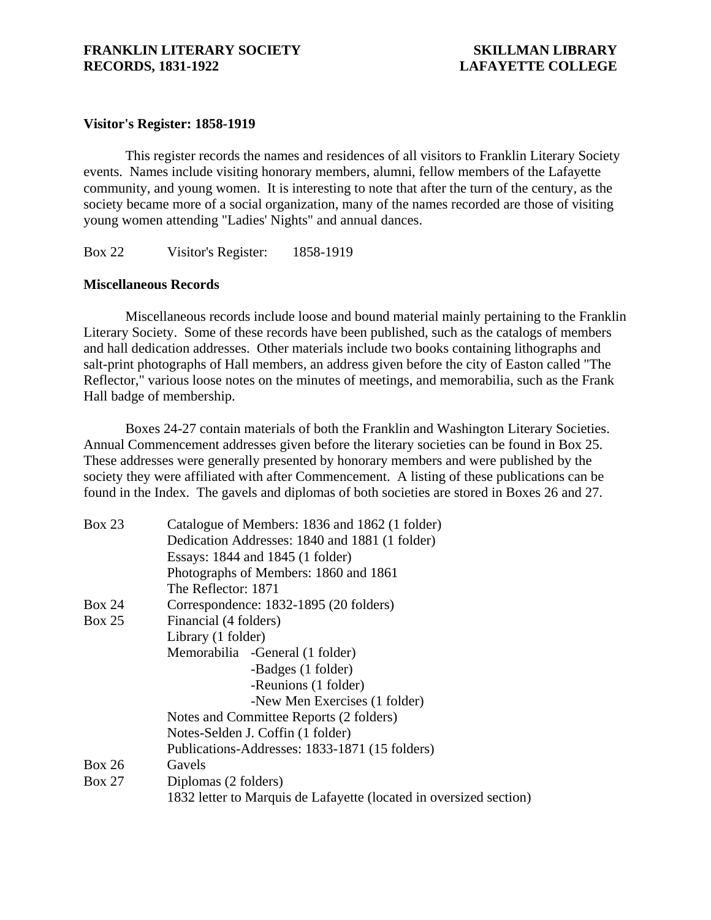# **Visitor's Register: 1858-1919**

This register records the names and residences of all visitors to Franklin Literary Society events. Names include visiting honorary members, alumni, fellow members of the Lafayette community, and young women. It is interesting to note that after the turn of the century, as the society became more of a social organization, many of the names recorded are those of visiting young women attending "Ladies' Nights" and annual dances.

Box 22 Visitor's Register: 1858-1919

## **Miscellaneous Records**

Miscellaneous records include loose and bound material mainly pertaining to the Franklin Literary Society. Some of these records have been published, such as the catalogs of members and hall dedication addresses. Other materials include two books containing lithographs and salt-print photographs of Hall members, an address given before the city of Easton called "The Reflector," various loose notes on the minutes of meetings, and memorabilia, such as the Frank Hall badge of membership.

Boxes 24-27 contain materials of both the Franklin and Washington Literary Societies. Annual Commencement addresses given before the literary societies can be found in Box 25. These addresses were generally presented by honorary members and were published by the society they were affiliated with after Commencement. A listing of these publications can be found in the Index. The gavels and diplomas of both societies are stored in Boxes 26 and 27.

| <b>Box 23</b> | Catalogue of Members: 1836 and 1862 (1 folder)                     |  |
|---------------|--------------------------------------------------------------------|--|
|               | Dedication Addresses: 1840 and 1881 (1 folder)                     |  |
|               | Essays: 1844 and 1845 (1 folder)                                   |  |
|               | Photographs of Members: 1860 and 1861                              |  |
|               | The Reflector: 1871                                                |  |
| <b>Box 24</b> | Correspondence: 1832-1895 (20 folders)                             |  |
| Box 25        | Financial (4 folders)                                              |  |
|               | Library (1 folder)                                                 |  |
|               | Memorabilia - General (1 folder)                                   |  |
|               | -Badges (1 folder)                                                 |  |
|               | -Reunions (1 folder)                                               |  |
|               | -New Men Exercises (1 folder)                                      |  |
|               | Notes and Committee Reports (2 folders)                            |  |
|               | Notes-Selden J. Coffin (1 folder)                                  |  |
|               | Publications-Addresses: 1833-1871 (15 folders)                     |  |
| <b>Box 26</b> | Gavels                                                             |  |
| <b>Box 27</b> | Diplomas (2 folders)                                               |  |
|               | 1832 letter to Marquis de Lafayette (located in oversized section) |  |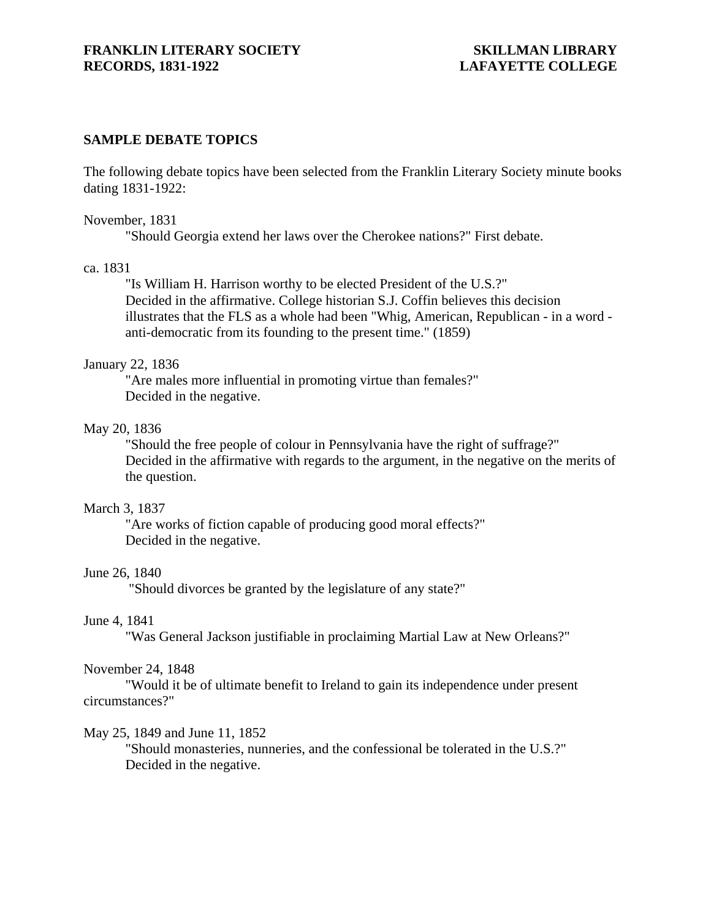## **SAMPLE DEBATE TOPICS**

The following debate topics have been selected from the Franklin Literary Society minute books dating 1831-1922:

#### November, 1831

"Should Georgia extend her laws over the Cherokee nations?" First debate.

#### ca. 1831

"Is William H. Harrison worthy to be elected President of the U.S.?" Decided in the affirmative. College historian S.J. Coffin believes this decision illustrates that the FLS as a whole had been "Whig, American, Republican - in a word anti-democratic from its founding to the present time." (1859)

### January 22, 1836

"Are males more influential in promoting virtue than females?" Decided in the negative.

# May 20, 1836

"Should the free people of colour in Pennsylvania have the right of suffrage?" Decided in the affirmative with regards to the argument, in the negative on the merits of the question.

### March 3, 1837

"Are works of fiction capable of producing good moral effects?" Decided in the negative.

### June 26, 1840

"Should divorces be granted by the legislature of any state?"

## June 4, 1841

"Was General Jackson justifiable in proclaiming Martial Law at New Orleans?"

### November 24, 1848

"Would it be of ultimate benefit to Ireland to gain its independence under present circumstances?"

### May 25, 1849 and June 11, 1852

"Should monasteries, nunneries, and the confessional be tolerated in the U.S.?" Decided in the negative.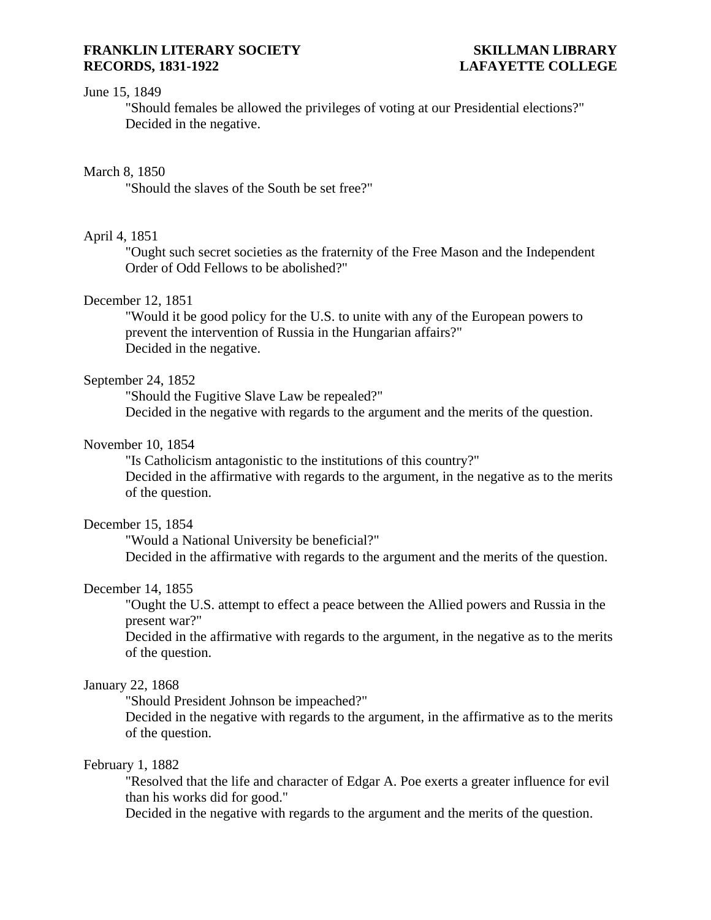# June 15, 1849

"Should females be allowed the privileges of voting at our Presidential elections?" Decided in the negative.

## March 8, 1850

"Should the slaves of the South be set free?"

## April 4, 1851

"Ought such secret societies as the fraternity of the Free Mason and the Independent Order of Odd Fellows to be abolished?"

# December 12, 1851

"Would it be good policy for the U.S. to unite with any of the European powers to prevent the intervention of Russia in the Hungarian affairs?" Decided in the negative.

### September 24, 1852

"Should the Fugitive Slave Law be repealed?" Decided in the negative with regards to the argument and the merits of the question.

# November 10, 1854

"Is Catholicism antagonistic to the institutions of this country?" Decided in the affirmative with regards to the argument, in the negative as to the merits of the question.

# December 15, 1854

"Would a National University be beneficial?" Decided in the affirmative with regards to the argument and the merits of the question.

# December 14, 1855

"Ought the U.S. attempt to effect a peace between the Allied powers and Russia in the present war?"

Decided in the affirmative with regards to the argument, in the negative as to the merits of the question.

### January 22, 1868

"Should President Johnson be impeached?"

Decided in the negative with regards to the argument, in the affirmative as to the merits of the question.

### February 1, 1882

"Resolved that the life and character of Edgar A. Poe exerts a greater influence for evil than his works did for good."

Decided in the negative with regards to the argument and the merits of the question.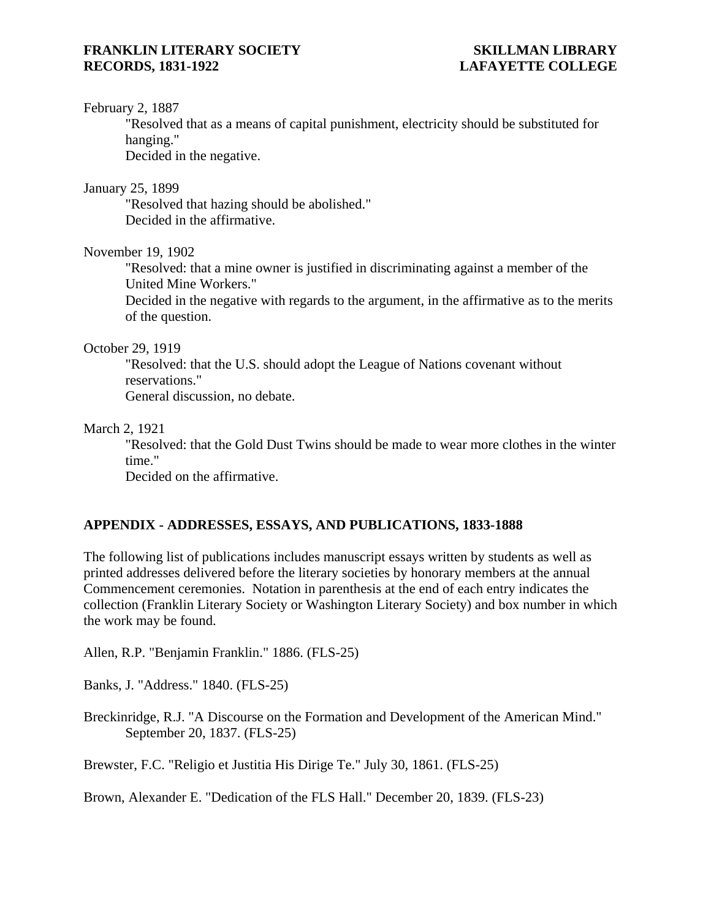## February 2, 1887

"Resolved that as a means of capital punishment, electricity should be substituted for hanging."

Decided in the negative.

January 25, 1899

"Resolved that hazing should be abolished." Decided in the affirmative.

November 19, 1902

"Resolved: that a mine owner is justified in discriminating against a member of the United Mine Workers."

Decided in the negative with regards to the argument, in the affirmative as to the merits of the question.

## October 29, 1919

"Resolved: that the U.S. should adopt the League of Nations covenant without reservations." General discussion, no debate.

# March 2, 1921

"Resolved: that the Gold Dust Twins should be made to wear more clothes in the winter time."

Decided on the affirmative.

# **APPENDIX - ADDRESSES, ESSAYS, AND PUBLICATIONS, 1833-1888**

The following list of publications includes manuscript essays written by students as well as printed addresses delivered before the literary societies by honorary members at the annual Commencement ceremonies. Notation in parenthesis at the end of each entry indicates the collection (Franklin Literary Society or Washington Literary Society) and box number in which the work may be found.

Allen, R.P. "Benjamin Franklin." 1886. (FLS-25)

Banks, J. "Address." 1840. (FLS-25)

Breckinridge, R.J. "A Discourse on the Formation and Development of the American Mind." September 20, 1837. (FLS-25)

Brewster, F.C. "Religio et Justitia His Dirige Te." July 30, 1861. (FLS-25)

Brown, Alexander E. "Dedication of the FLS Hall." December 20, 1839. (FLS-23)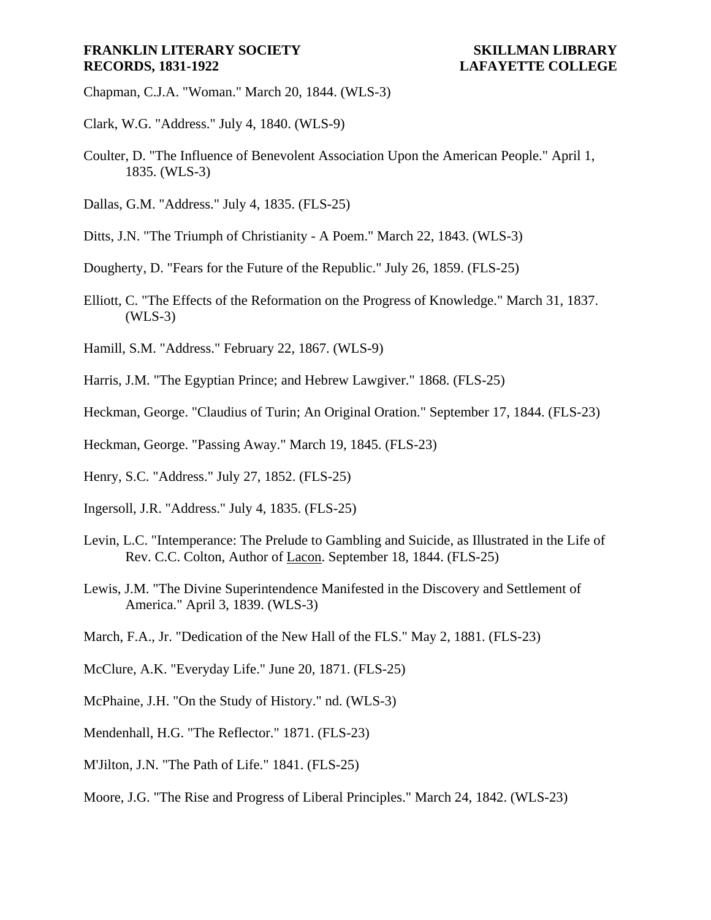- Chapman, C.J.A. "Woman." March 20, 1844. (WLS-3)
- Clark, W.G. "Address." July 4, 1840. (WLS-9)
- Coulter, D. "The Influence of Benevolent Association Upon the American People." April 1, 1835. (WLS-3)
- Dallas, G.M. "Address." July 4, 1835. (FLS-25)
- Ditts, J.N. "The Triumph of Christianity A Poem." March 22, 1843. (WLS-3)
- Dougherty, D. "Fears for the Future of the Republic." July 26, 1859. (FLS-25)
- Elliott, C. "The Effects of the Reformation on the Progress of Knowledge." March 31, 1837. (WLS-3)
- Hamill, S.M. "Address." February 22, 1867. (WLS-9)
- Harris, J.M. "The Egyptian Prince; and Hebrew Lawgiver." 1868. (FLS-25)
- Heckman, George. "Claudius of Turin; An Original Oration." September 17, 1844. (FLS-23)
- Heckman, George. "Passing Away." March 19, 1845. (FLS-23)
- Henry, S.C. "Address." July 27, 1852. (FLS-25)
- Ingersoll, J.R. "Address." July 4, 1835. (FLS-25)
- Levin, L.C. "Intemperance: The Prelude to Gambling and Suicide, as Illustrated in the Life of Rev. C.C. Colton, Author of Lacon. September 18, 1844. (FLS-25)
- Lewis, J.M. "The Divine Superintendence Manifested in the Discovery and Settlement of America." April 3, 1839. (WLS-3)
- March, F.A., Jr. "Dedication of the New Hall of the FLS." May 2, 1881. (FLS-23)
- McClure, A.K. "Everyday Life." June 20, 1871. (FLS-25)
- McPhaine, J.H. "On the Study of History." nd. (WLS-3)
- Mendenhall, H.G. "The Reflector." 1871. (FLS-23)
- M'Jilton, J.N. "The Path of Life." 1841. (FLS-25)
- Moore, J.G. "The Rise and Progress of Liberal Principles." March 24, 1842. (WLS-23)